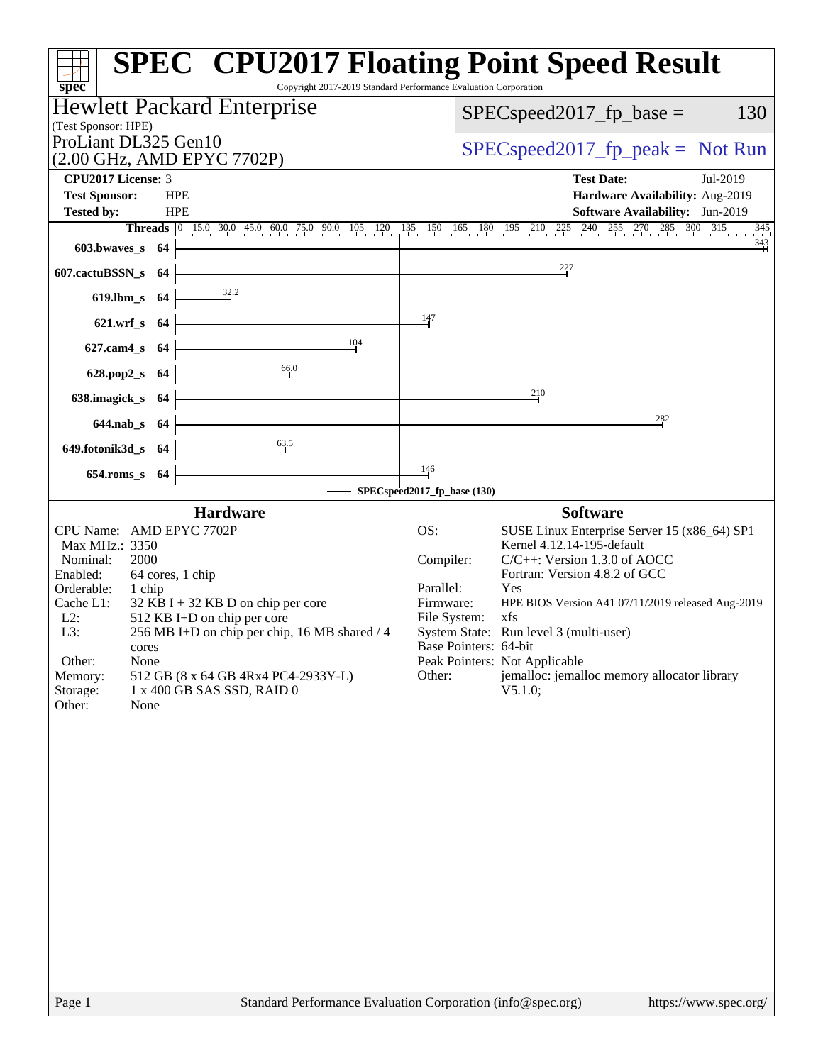|                                                                                                                                                                                                                                                                                                                                                                                                                                                                                                                  | <b>SPEC<sup>®</sup> CPU2017 Floating Point Speed Result</b>                                                                                                                                                                                                                                                                                                                                        |
|------------------------------------------------------------------------------------------------------------------------------------------------------------------------------------------------------------------------------------------------------------------------------------------------------------------------------------------------------------------------------------------------------------------------------------------------------------------------------------------------------------------|----------------------------------------------------------------------------------------------------------------------------------------------------------------------------------------------------------------------------------------------------------------------------------------------------------------------------------------------------------------------------------------------------|
| Copyright 2017-2019 Standard Performance Evaluation Corporation<br>spec <sup>®</sup><br><b>Hewlett Packard Enterprise</b>                                                                                                                                                                                                                                                                                                                                                                                        | 130                                                                                                                                                                                                                                                                                                                                                                                                |
| (Test Sponsor: HPE)                                                                                                                                                                                                                                                                                                                                                                                                                                                                                              | $SPEC speed2017_fp\_base =$                                                                                                                                                                                                                                                                                                                                                                        |
| ProLiant DL325 Gen10                                                                                                                                                                                                                                                                                                                                                                                                                                                                                             | $SPEC speed2017rfp peak = Not Run$                                                                                                                                                                                                                                                                                                                                                                 |
| (2.00 GHz, AMD EPYC 7702P)<br><b>CPU2017 License: 3</b>                                                                                                                                                                                                                                                                                                                                                                                                                                                          | <b>Test Date:</b><br>Jul-2019                                                                                                                                                                                                                                                                                                                                                                      |
| <b>Test Sponsor:</b><br><b>HPE</b>                                                                                                                                                                                                                                                                                                                                                                                                                                                                               | Hardware Availability: Aug-2019                                                                                                                                                                                                                                                                                                                                                                    |
| <b>Tested by:</b><br><b>HPE</b>                                                                                                                                                                                                                                                                                                                                                                                                                                                                                  | Software Availability: Jun-2019                                                                                                                                                                                                                                                                                                                                                                    |
| Threads 0 15.0 30.0 45.0 60.0 75.0 90.0 105 120 135 150 165 180 195 210 225 240 255 270 285 300 315 345                                                                                                                                                                                                                                                                                                                                                                                                          | $\frac{343}{4}$                                                                                                                                                                                                                                                                                                                                                                                    |
| 603.bwaves_s 64                                                                                                                                                                                                                                                                                                                                                                                                                                                                                                  |                                                                                                                                                                                                                                                                                                                                                                                                    |
| 607.cactuBSSN_s<br>- 64                                                                                                                                                                                                                                                                                                                                                                                                                                                                                          | 227                                                                                                                                                                                                                                                                                                                                                                                                |
| $\frac{32.2}{ }$<br>619.lbm_s 64                                                                                                                                                                                                                                                                                                                                                                                                                                                                                 |                                                                                                                                                                                                                                                                                                                                                                                                    |
| 147<br>621.wrf_s 64                                                                                                                                                                                                                                                                                                                                                                                                                                                                                              |                                                                                                                                                                                                                                                                                                                                                                                                    |
| 104<br>627.cam4_s 64                                                                                                                                                                                                                                                                                                                                                                                                                                                                                             |                                                                                                                                                                                                                                                                                                                                                                                                    |
| 66.0<br>628.pop2_s 64                                                                                                                                                                                                                                                                                                                                                                                                                                                                                            |                                                                                                                                                                                                                                                                                                                                                                                                    |
|                                                                                                                                                                                                                                                                                                                                                                                                                                                                                                                  | 210                                                                                                                                                                                                                                                                                                                                                                                                |
| 638.imagick_s 64                                                                                                                                                                                                                                                                                                                                                                                                                                                                                                 |                                                                                                                                                                                                                                                                                                                                                                                                    |
| 644.nab_s 64                                                                                                                                                                                                                                                                                                                                                                                                                                                                                                     | 282                                                                                                                                                                                                                                                                                                                                                                                                |
| $\frac{63.5}{2}$<br>649.fotonik3d_s 64                                                                                                                                                                                                                                                                                                                                                                                                                                                                           |                                                                                                                                                                                                                                                                                                                                                                                                    |
| 146<br>654.roms_s 64                                                                                                                                                                                                                                                                                                                                                                                                                                                                                             |                                                                                                                                                                                                                                                                                                                                                                                                    |
| SPECspeed2017_fp_base (130)                                                                                                                                                                                                                                                                                                                                                                                                                                                                                      |                                                                                                                                                                                                                                                                                                                                                                                                    |
| <b>Hardware</b><br>CPU Name: AMD EPYC 7702P<br>OS:<br>Max MHz.: 3350<br>Compiler:<br>Nominal:<br>2000<br>Enabled:<br>64 cores, 1 chip<br>Parallel:<br>Orderable:<br>1 chip<br>Firmware:<br>Cache L1:<br>$32$ KB I + 32 KB D on chip per core<br>$L2$ :<br>512 KB I+D on chip per core<br>File System:<br>L3:<br>256 MB I+D on chip per chip, 16 MB shared / 4<br>cores<br>Other:<br>None<br>Memory:<br>Other:<br>512 GB (8 x 64 GB 4Rx4 PC4-2933Y-L)<br>Storage:<br>1 x 400 GB SAS SSD, RAID 0<br>Other:<br>None | <b>Software</b><br>SUSE Linux Enterprise Server 15 (x86_64) SP1<br>Kernel 4.12.14-195-default<br>$C/C++$ : Version 1.3.0 of AOCC<br>Fortran: Version 4.8.2 of GCC<br>Yes<br>HPE BIOS Version A41 07/11/2019 released Aug-2019<br>xfs<br>System State: Run level 3 (multi-user)<br>Base Pointers: 64-bit<br>Peak Pointers: Not Applicable<br>jemalloc: jemalloc memory allocator library<br>V5.1.0; |
|                                                                                                                                                                                                                                                                                                                                                                                                                                                                                                                  |                                                                                                                                                                                                                                                                                                                                                                                                    |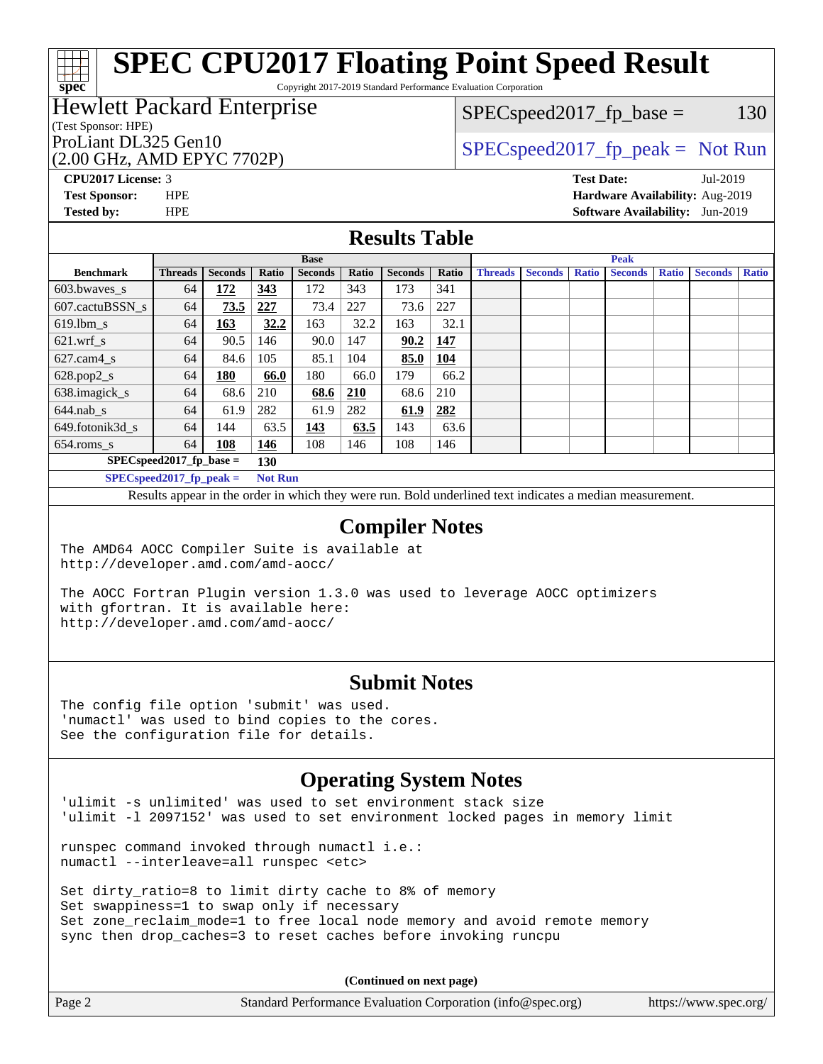Copyright 2017-2019 Standard Performance Evaluation Corporation

### Hewlett Packard Enterprise

#### (Test Sponsor: HPE)

(2.00 GHz, AMD EPYC 7702P)

 $SPEC speed2017_fp\_base = 130$ 

## ProLiant DL325 Gen10  $SPEC speed2017<sub>fp</sub> peak = Not Run$

**[CPU2017 License:](http://www.spec.org/auto/cpu2017/Docs/result-fields.html#CPU2017License)** 3 **[Test Date:](http://www.spec.org/auto/cpu2017/Docs/result-fields.html#TestDate)** Jul-2019 **[Test Sponsor:](http://www.spec.org/auto/cpu2017/Docs/result-fields.html#TestSponsor)** HPE **[Hardware Availability:](http://www.spec.org/auto/cpu2017/Docs/result-fields.html#HardwareAvailability)** Aug-2019 **[Tested by:](http://www.spec.org/auto/cpu2017/Docs/result-fields.html#Testedby)** HPE **[Software Availability:](http://www.spec.org/auto/cpu2017/Docs/result-fields.html#SoftwareAvailability)** Jun-2019

### **[Results Table](http://www.spec.org/auto/cpu2017/Docs/result-fields.html#ResultsTable)**

|                                  | <b>Base</b>                   |                |                         |                |       |                | <b>Peak</b> |                |                |              |                |              |                |              |
|----------------------------------|-------------------------------|----------------|-------------------------|----------------|-------|----------------|-------------|----------------|----------------|--------------|----------------|--------------|----------------|--------------|
| <b>Benchmark</b>                 | <b>Threads</b>                | <b>Seconds</b> | Ratio                   | <b>Seconds</b> | Ratio | <b>Seconds</b> | Ratio       | <b>Threads</b> | <b>Seconds</b> | <b>Ratio</b> | <b>Seconds</b> | <b>Ratio</b> | <b>Seconds</b> | <b>Ratio</b> |
| 603.bwayes_s                     | 64                            | 172            | 343                     | 172            | 343   | 173            | 341         |                |                |              |                |              |                |              |
| 607.cactuBSSN s                  | 64                            | 73.5           | 227                     | 73.4           | 227   | 73.6           | 227         |                |                |              |                |              |                |              |
| $619.$ lbm s                     | 64                            | 163            | 32.2                    | 163            | 32.2  | 163            | 32.1        |                |                |              |                |              |                |              |
| $621$ .wrf s                     | 64                            | 90.5           | 146                     | 90.0           | 147   | 90.2           | 147         |                |                |              |                |              |                |              |
| $627$ .cam $4$ <sub>s</sub>      | 64                            | 84.6           | 105                     | 85.1           | 104   | 85.0           | <b>104</b>  |                |                |              |                |              |                |              |
| $628.pop2_s$                     | 64                            | <b>180</b>     | 66.0                    | 180            | 66.0  | 179            | 66.2        |                |                |              |                |              |                |              |
| 638.imagick_s                    | 64                            | 68.6           | 210                     | 68.6           | 210   | 68.6           | 210         |                |                |              |                |              |                |              |
| $644$ .nab s                     | 64                            | 61.9           | 282                     | 61.9           | 282   | 61.9           | 282         |                |                |              |                |              |                |              |
| 649.fotonik3d s                  | 64                            | 144            | 63.5                    | 143            | 63.5  | 143            | 63.6        |                |                |              |                |              |                |              |
| $654$ .roms_s                    | 64                            | 108            | 146                     | 108            | 146   | 108            | 146         |                |                |              |                |              |                |              |
| $SPECspeed2017$ fp base =<br>130 |                               |                |                         |                |       |                |             |                |                |              |                |              |                |              |
|                                  | $CDFC_{cm00}d2017$ for nook - |                | $Nof$ D <sub>1111</sub> |                |       |                |             |                |                |              |                |              |                |              |

**[SPECspeed2017\\_fp\\_peak =](http://www.spec.org/auto/cpu2017/Docs/result-fields.html#SPECspeed2017fppeak) Not Run**

Results appear in the [order in which they were run.](http://www.spec.org/auto/cpu2017/Docs/result-fields.html#RunOrder) Bold underlined text [indicates a median measurement](http://www.spec.org/auto/cpu2017/Docs/result-fields.html#Median).

#### **[Compiler Notes](http://www.spec.org/auto/cpu2017/Docs/result-fields.html#CompilerNotes)**

The AMD64 AOCC Compiler Suite is available at <http://developer.amd.com/amd-aocc/>

The AOCC Fortran Plugin version 1.3.0 was used to leverage AOCC optimizers with gfortran. It is available here: <http://developer.amd.com/amd-aocc/>

#### **[Submit Notes](http://www.spec.org/auto/cpu2017/Docs/result-fields.html#SubmitNotes)**

The config file option 'submit' was used. 'numactl' was used to bind copies to the cores. See the configuration file for details.

### **[Operating System Notes](http://www.spec.org/auto/cpu2017/Docs/result-fields.html#OperatingSystemNotes)**

'ulimit -s unlimited' was used to set environment stack size 'ulimit -l 2097152' was used to set environment locked pages in memory limit

runspec command invoked through numactl i.e.: numactl --interleave=all runspec <etc>

Set dirty\_ratio=8 to limit dirty cache to 8% of memory Set swappiness=1 to swap only if necessary Set zone\_reclaim\_mode=1 to free local node memory and avoid remote memory sync then drop\_caches=3 to reset caches before invoking runcpu

**(Continued on next page)**

| Page 2 | Standard Performance Evaluation Corporation (info@spec.org) | https://www.spec.org/ $\vert$ |
|--------|-------------------------------------------------------------|-------------------------------|
|--------|-------------------------------------------------------------|-------------------------------|

**[spec](http://www.spec.org/)**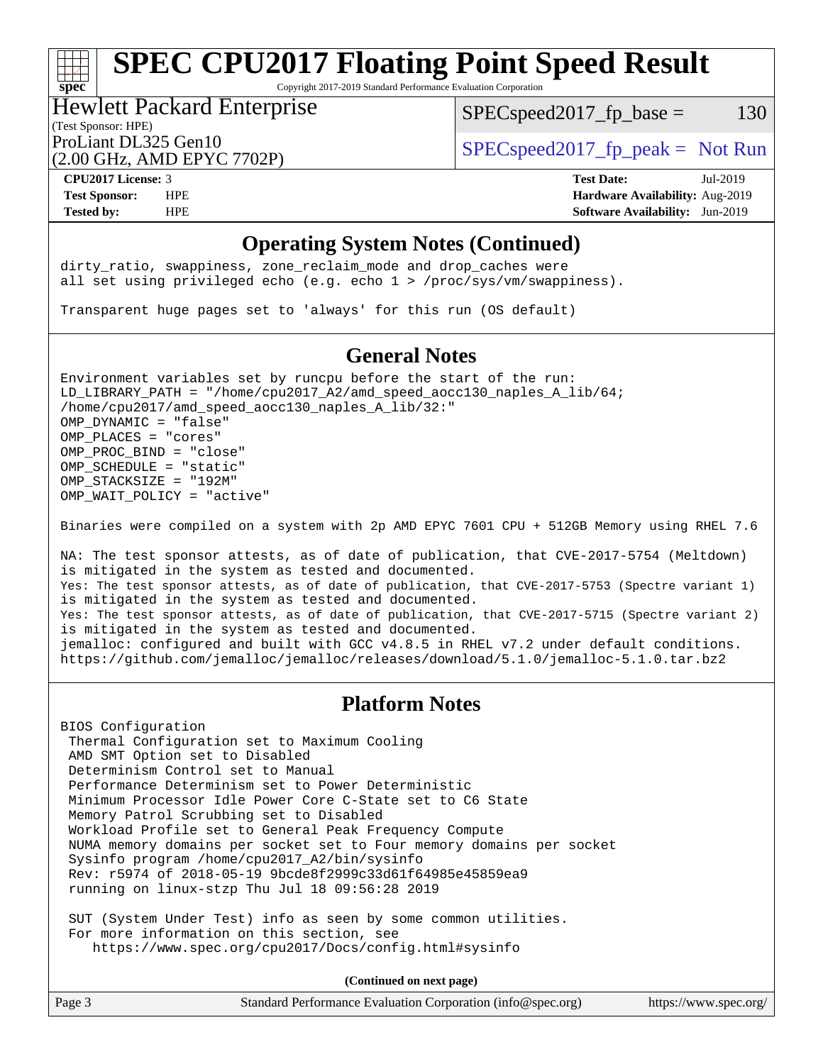Copyright 2017-2019 Standard Performance Evaluation Corporation

## Hewlett Packard Enterprise

 $SPEC speed2017_fp\_base = 130$ 

## (Test Sponsor: HPE)

(2.00 GHz, AMD EPYC 7702P)

ProLiant DL325 Gen10  $SPEC speed2017<sub>fp</sub> peak = Not Run$ 

**[spec](http://www.spec.org/)**

**[CPU2017 License:](http://www.spec.org/auto/cpu2017/Docs/result-fields.html#CPU2017License)** 3 **[Test Date:](http://www.spec.org/auto/cpu2017/Docs/result-fields.html#TestDate)** Jul-2019 **[Test Sponsor:](http://www.spec.org/auto/cpu2017/Docs/result-fields.html#TestSponsor)** HPE **[Hardware Availability:](http://www.spec.org/auto/cpu2017/Docs/result-fields.html#HardwareAvailability)** Aug-2019 **[Tested by:](http://www.spec.org/auto/cpu2017/Docs/result-fields.html#Testedby)** HPE **[Software Availability:](http://www.spec.org/auto/cpu2017/Docs/result-fields.html#SoftwareAvailability)** Jun-2019

#### **[Operating System Notes \(Continued\)](http://www.spec.org/auto/cpu2017/Docs/result-fields.html#OperatingSystemNotes)**

dirty\_ratio, swappiness, zone\_reclaim\_mode and drop caches were all set using privileged echo (e.g. echo 1 > /proc/sys/vm/swappiness).

Transparent huge pages set to 'always' for this run (OS default)

#### **[General Notes](http://www.spec.org/auto/cpu2017/Docs/result-fields.html#GeneralNotes)**

Environment variables set by runcpu before the start of the run: LD\_LIBRARY\_PATH = "/home/cpu2017\_A2/amd\_speed\_aocc130\_naples\_A\_lib/64; /home/cpu2017/amd\_speed\_aocc130\_naples\_A\_lib/32:" OMP\_DYNAMIC = "false" OMP\_PLACES = "cores" OMP\_PROC\_BIND = "close" OMP\_SCHEDULE = "static" OMP\_STACKSIZE = "192M" OMP WAIT POLICY = "active"

Binaries were compiled on a system with 2p AMD EPYC 7601 CPU + 512GB Memory using RHEL 7.6

NA: The test sponsor attests, as of date of publication, that CVE-2017-5754 (Meltdown) is mitigated in the system as tested and documented. Yes: The test sponsor attests, as of date of publication, that CVE-2017-5753 (Spectre variant 1) is mitigated in the system as tested and documented. Yes: The test sponsor attests, as of date of publication, that CVE-2017-5715 (Spectre variant 2) is mitigated in the system as tested and documented. jemalloc: configured and built with GCC v4.8.5 in RHEL v7.2 under default conditions. <https://github.com/jemalloc/jemalloc/releases/download/5.1.0/jemalloc-5.1.0.tar.bz2>

### **[Platform Notes](http://www.spec.org/auto/cpu2017/Docs/result-fields.html#PlatformNotes)**

BIOS Configuration Thermal Configuration set to Maximum Cooling AMD SMT Option set to Disabled Determinism Control set to Manual Performance Determinism set to Power Deterministic Minimum Processor Idle Power Core C-State set to C6 State Memory Patrol Scrubbing set to Disabled Workload Profile set to General Peak Frequency Compute NUMA memory domains per socket set to Four memory domains per socket Sysinfo program /home/cpu2017\_A2/bin/sysinfo Rev: r5974 of 2018-05-19 9bcde8f2999c33d61f64985e45859ea9 running on linux-stzp Thu Jul 18 09:56:28 2019

 SUT (System Under Test) info as seen by some common utilities. For more information on this section, see <https://www.spec.org/cpu2017/Docs/config.html#sysinfo>

**(Continued on next page)**

| Page 3 | Standard Performance Evaluation Corporation (info@spec.org) | https://www.spec.org/ |
|--------|-------------------------------------------------------------|-----------------------|
|--------|-------------------------------------------------------------|-----------------------|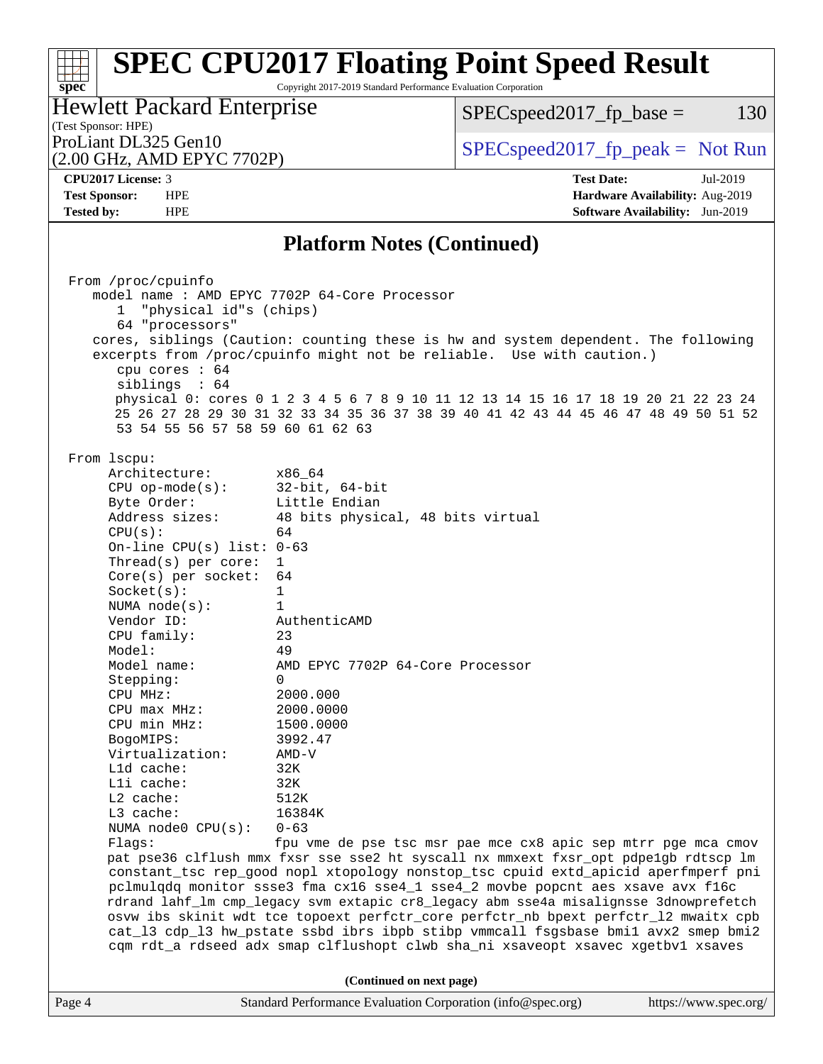Copyright 2017-2019 Standard Performance Evaluation Corporation

#### (Test Sponsor: HPE) Hewlett Packard Enterprise

 $SPEC speed2017_fp\_base = 130$ 

# (2.00 GHz, AMD EPYC 7702P)

ProLiant DL325 Gen10  $SPEC speed2017_fp\_peak = Not Run$ 

**[spec](http://www.spec.org/)**

**[Tested by:](http://www.spec.org/auto/cpu2017/Docs/result-fields.html#Testedby)** HPE **[Software Availability:](http://www.spec.org/auto/cpu2017/Docs/result-fields.html#SoftwareAvailability)** Jun-2019

**[CPU2017 License:](http://www.spec.org/auto/cpu2017/Docs/result-fields.html#CPU2017License)** 3 **[Test Date:](http://www.spec.org/auto/cpu2017/Docs/result-fields.html#TestDate)** Jul-2019 **[Test Sponsor:](http://www.spec.org/auto/cpu2017/Docs/result-fields.html#TestSponsor)** HPE **[Hardware Availability:](http://www.spec.org/auto/cpu2017/Docs/result-fields.html#HardwareAvailability)** Aug-2019

### **[Platform Notes \(Continued\)](http://www.spec.org/auto/cpu2017/Docs/result-fields.html#PlatformNotes)**

Page 4 Standard Performance Evaluation Corporation [\(info@spec.org\)](mailto:info@spec.org) <https://www.spec.org/> From /proc/cpuinfo model name : AMD EPYC 7702P 64-Core Processor 1 "physical id"s (chips) 64 "processors" cores, siblings (Caution: counting these is hw and system dependent. The following excerpts from /proc/cpuinfo might not be reliable. Use with caution.) cpu cores : 64 siblings : 64 physical 0: cores 0 1 2 3 4 5 6 7 8 9 10 11 12 13 14 15 16 17 18 19 20 21 22 23 24 25 26 27 28 29 30 31 32 33 34 35 36 37 38 39 40 41 42 43 44 45 46 47 48 49 50 51 52 53 54 55 56 57 58 59 60 61 62 63 From lscpu: Architecture: x86\_64 CPU op-mode(s): 32-bit, 64-bit Byte Order: Little Endian Address sizes: 48 bits physical, 48 bits virtual  $CPU(s):$  64 On-line CPU(s) list: 0-63 Thread(s) per core: 1 Core(s) per socket: 64 Socket(s): 1 NUMA node(s): 1 Vendor ID: AuthenticAMD CPU family: 23 Model: 49 Model name: AMD EPYC 7702P 64-Core Processor Stepping: 0 CPU MHz: 2000.000 CPU max MHz: 2000.0000 CPU min MHz: 1500.0000 BogoMIPS: 3992.47 Virtualization: AMD-V L1d cache: 32K L1i cache: 32K L2 cache: 512K L3 cache: 16384K NUMA node0 CPU(s): 0-63 Flags: fpu vme de pse tsc msr pae mce cx8 apic sep mtrr pge mca cmov pat pse36 clflush mmx fxsr sse sse2 ht syscall nx mmxext fxsr\_opt pdpe1gb rdtscp lm constant\_tsc rep\_good nopl xtopology nonstop\_tsc cpuid extd\_apicid aperfmperf pni pclmulqdq monitor ssse3 fma cx16 sse4\_1 sse4\_2 movbe popcnt aes xsave avx f16c rdrand lahf\_lm cmp\_legacy svm extapic cr8\_legacy abm sse4a misalignsse 3dnowprefetch osvw ibs skinit wdt tce topoext perfctr\_core perfctr\_nb bpext perfctr\_l2 mwaitx cpb cat\_l3 cdp\_l3 hw\_pstate ssbd ibrs ibpb stibp vmmcall fsgsbase bmi1 avx2 smep bmi2 cqm rdt\_a rdseed adx smap clflushopt clwb sha\_ni xsaveopt xsavec xgetbv1 xsaves **(Continued on next page)**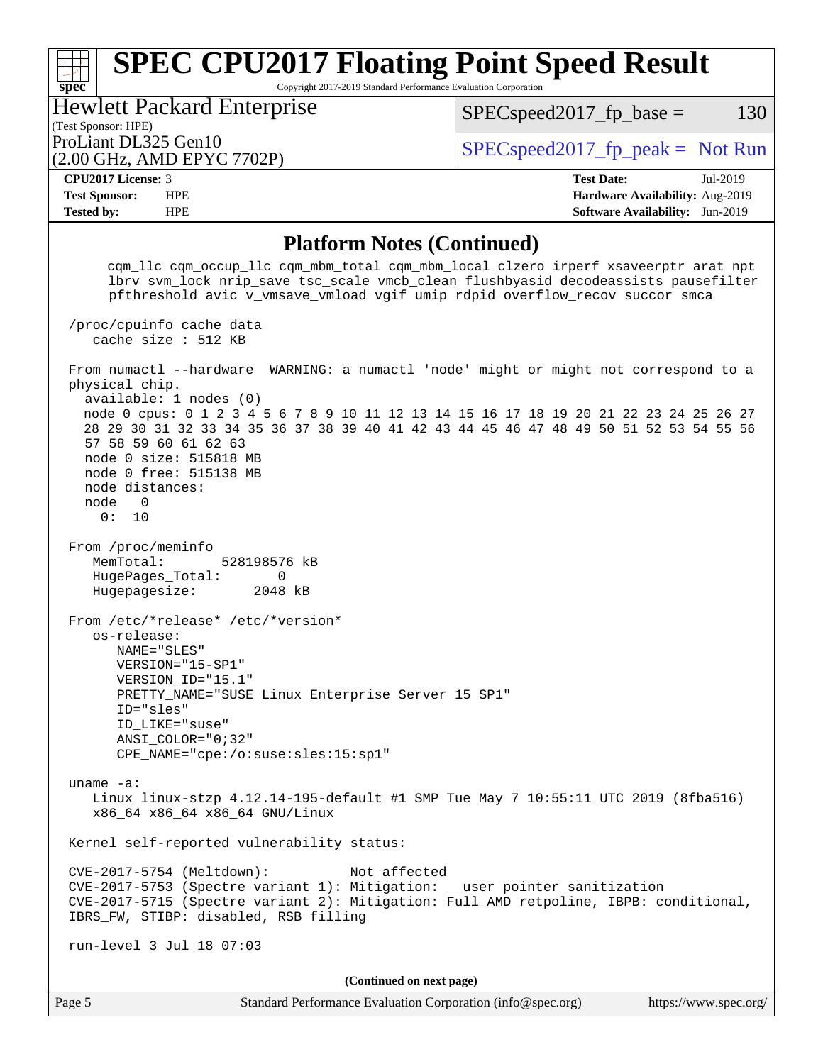Copyright 2017-2019 Standard Performance Evaluation Corporation

(Test Sponsor: HPE) Hewlett Packard Enterprise

 $SPEC speed2017<sub>fp</sub> base = 130$ 

(2.00 GHz, AMD EPYC 7702P)

ProLiant DL325 Gen10  $SPEC speed2017_f$   $peak = Not Run$ 

**[spec](http://www.spec.org/)**

**[CPU2017 License:](http://www.spec.org/auto/cpu2017/Docs/result-fields.html#CPU2017License)** 3 **[Test Date:](http://www.spec.org/auto/cpu2017/Docs/result-fields.html#TestDate)** Jul-2019 **[Test Sponsor:](http://www.spec.org/auto/cpu2017/Docs/result-fields.html#TestSponsor)** HPE **[Hardware Availability:](http://www.spec.org/auto/cpu2017/Docs/result-fields.html#HardwareAvailability)** Aug-2019 **[Tested by:](http://www.spec.org/auto/cpu2017/Docs/result-fields.html#Testedby)** HPE **[Software Availability:](http://www.spec.org/auto/cpu2017/Docs/result-fields.html#SoftwareAvailability)** Jun-2019

#### **[Platform Notes \(Continued\)](http://www.spec.org/auto/cpu2017/Docs/result-fields.html#PlatformNotes)**

 cqm\_llc cqm\_occup\_llc cqm\_mbm\_total cqm\_mbm\_local clzero irperf xsaveerptr arat npt lbrv svm\_lock nrip\_save tsc\_scale vmcb\_clean flushbyasid decodeassists pausefilter pfthreshold avic v\_vmsave\_vmload vgif umip rdpid overflow\_recov succor smca /proc/cpuinfo cache data cache size : 512 KB From numactl --hardware WARNING: a numactl 'node' might or might not correspond to a physical chip. available: 1 nodes (0) node 0 cpus: 0 1 2 3 4 5 6 7 8 9 10 11 12 13 14 15 16 17 18 19 20 21 22 23 24 25 26 27 28 29 30 31 32 33 34 35 36 37 38 39 40 41 42 43 44 45 46 47 48 49 50 51 52 53 54 55 56 57 58 59 60 61 62 63 node 0 size: 515818 MB node 0 free: 515138 MB node distances: node 0 0: 10 From /proc/meminfo MemTotal: 528198576 kB HugePages\_Total: 0 Hugepagesize: 2048 kB From /etc/\*release\* /etc/\*version\* os-release: NAME="SLES" VERSION="15-SP1" VERSION\_ID="15.1" PRETTY\_NAME="SUSE Linux Enterprise Server 15 SP1" ID="sles" ID\_LIKE="suse" ANSI\_COLOR="0;32" CPE\_NAME="cpe:/o:suse:sles:15:sp1" uname -a: Linux linux-stzp 4.12.14-195-default #1 SMP Tue May 7 10:55:11 UTC 2019 (8fba516) x86\_64 x86\_64 x86\_64 GNU/Linux Kernel self-reported vulnerability status: CVE-2017-5754 (Meltdown): Not affected CVE-2017-5753 (Spectre variant 1): Mitigation: \_\_user pointer sanitization CVE-2017-5715 (Spectre variant 2): Mitigation: Full AMD retpoline, IBPB: conditional, IBRS\_FW, STIBP: disabled, RSB filling run-level 3 Jul 18 07:03 **(Continued on next page)**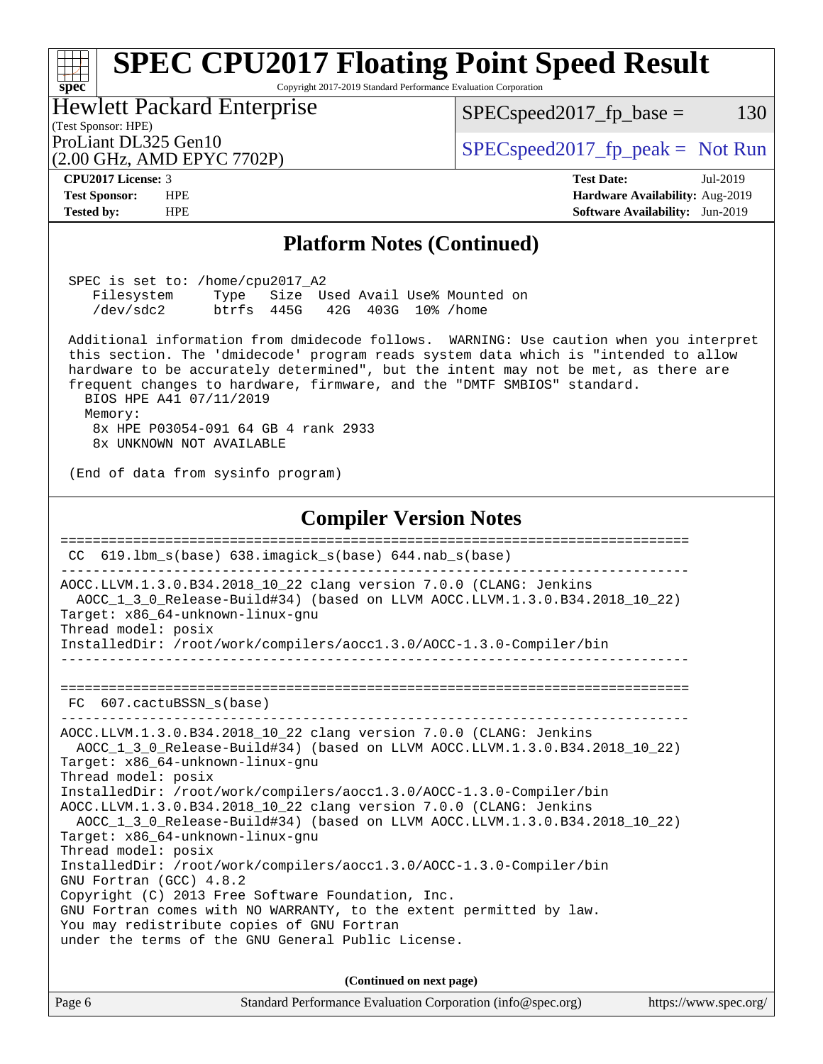#### Page 6 Standard Performance Evaluation Corporation [\(info@spec.org\)](mailto:info@spec.org) <https://www.spec.org/> **[spec](http://www.spec.org/) [SPEC CPU2017 Floating Point Speed Result](http://www.spec.org/auto/cpu2017/Docs/result-fields.html#SPECCPU2017FloatingPointSpeedResult)** Copyright 2017-2019 Standard Performance Evaluation Corporation (Test Sponsor: HPE) Hewlett Packard Enterprise (2.00 GHz, AMD EPYC 7702P) ProLiant DL325 Gen10  $SPEC speed2017_f$   $peak = Not Run$  $SPEC speed2017_fp\_base = 130$ **[CPU2017 License:](http://www.spec.org/auto/cpu2017/Docs/result-fields.html#CPU2017License)** 3 **[Test Date:](http://www.spec.org/auto/cpu2017/Docs/result-fields.html#TestDate)** Jul-2019 **[Test Sponsor:](http://www.spec.org/auto/cpu2017/Docs/result-fields.html#TestSponsor)** HPE **[Hardware Availability:](http://www.spec.org/auto/cpu2017/Docs/result-fields.html#HardwareAvailability)** Aug-2019 **[Tested by:](http://www.spec.org/auto/cpu2017/Docs/result-fields.html#Testedby)** HPE **[Software Availability:](http://www.spec.org/auto/cpu2017/Docs/result-fields.html#SoftwareAvailability)** Jun-2019 **[Platform Notes \(Continued\)](http://www.spec.org/auto/cpu2017/Docs/result-fields.html#PlatformNotes)** SPEC is set to: /home/cpu2017\_A2 Filesystem Type Size Used Avail Use% Mounted on /dev/sdc2 btrfs 445G 42G 403G 10% /home Additional information from dmidecode follows. WARNING: Use caution when you interpret this section. The 'dmidecode' program reads system data which is "intended to allow hardware to be accurately determined", but the intent may not be met, as there are frequent changes to hardware, firmware, and the "DMTF SMBIOS" standard. BIOS HPE A41 07/11/2019 Memory: 8x HPE P03054-091 64 GB 4 rank 2933 8x UNKNOWN NOT AVAILABLE (End of data from sysinfo program) **[Compiler Version Notes](http://www.spec.org/auto/cpu2017/Docs/result-fields.html#CompilerVersionNotes)** ============================================================================== CC 619.lbm\_s(base) 638.imagick\_s(base) 644.nab\_s(base) ------------------------------------------------------------------------------ AOCC.LLVM.1.3.0.B34.2018\_10\_22 clang version 7.0.0 (CLANG: Jenkins AOCC\_1\_3\_0\_Release-Build#34) (based on LLVM AOCC.LLVM.1.3.0.B34.2018\_10\_22) Target: x86\_64-unknown-linux-gnu Thread model: posix InstalledDir: /root/work/compilers/aocc1.3.0/AOCC-1.3.0-Compiler/bin ------------------------------------------------------------------------------ ============================================================================== FC 607.cactuBSSN\_s(base) ------------------------------------------------------------------------------ AOCC.LLVM.1.3.0.B34.2018\_10\_22 clang version 7.0.0 (CLANG: Jenkins AOCC\_1\_3\_0\_Release-Build#34) (based on LLVM AOCC.LLVM.1.3.0.B34.2018\_10\_22) Target: x86\_64-unknown-linux-gnu Thread model: posix InstalledDir: /root/work/compilers/aocc1.3.0/AOCC-1.3.0-Compiler/bin AOCC.LLVM.1.3.0.B34.2018\_10\_22 clang version 7.0.0 (CLANG: Jenkins AOCC\_1\_3\_0\_Release-Build#34) (based on LLVM AOCC.LLVM.1.3.0.B34.2018\_10\_22) Target: x86\_64-unknown-linux-gnu Thread model: posix InstalledDir: /root/work/compilers/aocc1.3.0/AOCC-1.3.0-Compiler/bin GNU Fortran (GCC) 4.8.2 Copyright (C) 2013 Free Software Foundation, Inc. GNU Fortran comes with NO WARRANTY, to the extent permitted by law. You may redistribute copies of GNU Fortran under the terms of the GNU General Public License. **(Continued on next page)**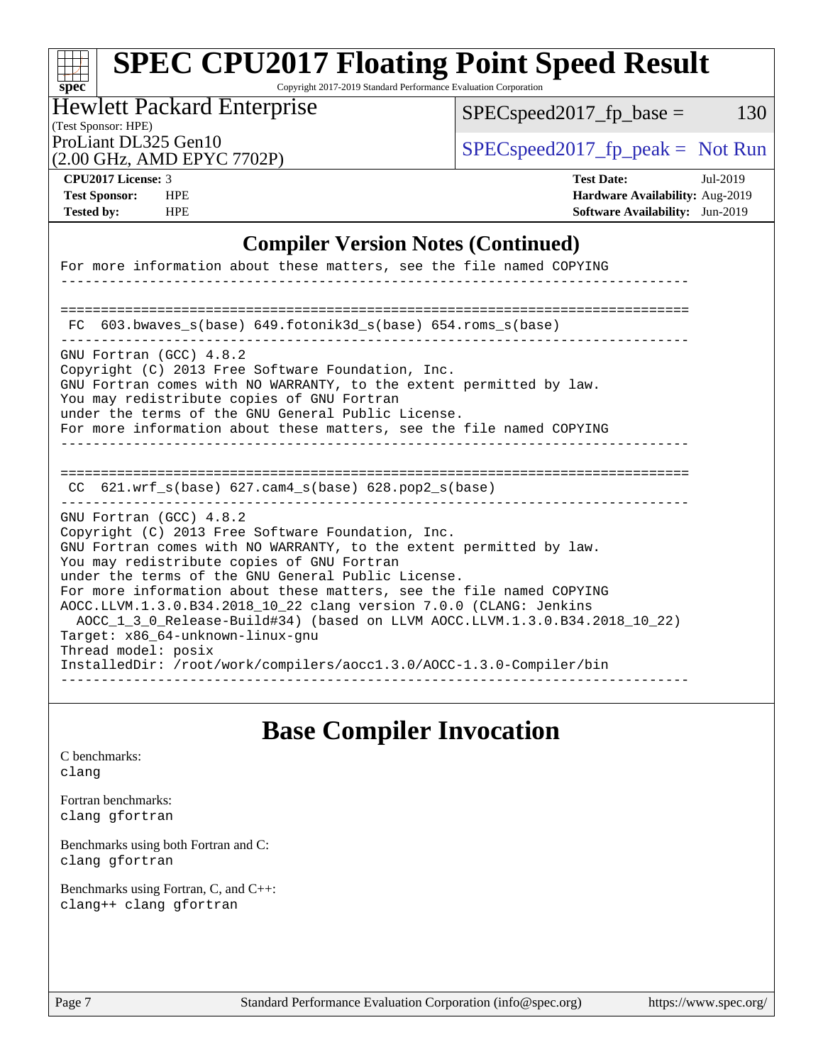Copyright 2017-2019 Standard Performance Evaluation Corporation

#### (Test Sponsor: HPE) Hewlett Packard Enterprise

 $SPEC speed2017_fp\_base = 130$ 

(2.00 GHz, AMD EPYC 7702P)

ProLiant DL325 Gen10<br>  $\begin{array}{r} \text{SPEC speed2017\_fp\_peak = Not Run} \\ \text{SPEC speed2017\_fp\_peak = Not Run} \end{array}$ 

**[spec](http://www.spec.org/)**

**[CPU2017 License:](http://www.spec.org/auto/cpu2017/Docs/result-fields.html#CPU2017License)** 3 **[Test Date:](http://www.spec.org/auto/cpu2017/Docs/result-fields.html#TestDate)** Jul-2019 **[Test Sponsor:](http://www.spec.org/auto/cpu2017/Docs/result-fields.html#TestSponsor)** HPE **[Hardware Availability:](http://www.spec.org/auto/cpu2017/Docs/result-fields.html#HardwareAvailability)** Aug-2019 **[Tested by:](http://www.spec.org/auto/cpu2017/Docs/result-fields.html#Testedby)** HPE **[Software Availability:](http://www.spec.org/auto/cpu2017/Docs/result-fields.html#SoftwareAvailability)** Jun-2019

### **[Compiler Version Notes \(Continued\)](http://www.spec.org/auto/cpu2017/Docs/result-fields.html#CompilerVersionNotes)**

| For more information about these matters, see the file named COPYING                                                                                                                                                                                                                                                                                                                                                                                                                                                                                                                                                    |
|-------------------------------------------------------------------------------------------------------------------------------------------------------------------------------------------------------------------------------------------------------------------------------------------------------------------------------------------------------------------------------------------------------------------------------------------------------------------------------------------------------------------------------------------------------------------------------------------------------------------------|
|                                                                                                                                                                                                                                                                                                                                                                                                                                                                                                                                                                                                                         |
| 603.bwaves s(base) 649.fotonik3d s(base) 654.roms s(base)<br>FC.                                                                                                                                                                                                                                                                                                                                                                                                                                                                                                                                                        |
| GNU Fortran (GCC) 4.8.2<br>Copyright (C) 2013 Free Software Foundation, Inc.<br>GNU Fortran comes with NO WARRANTY, to the extent permitted by law.<br>You may redistribute copies of GNU Fortran<br>under the terms of the GNU General Public License.<br>For more information about these matters, see the file named COPYING                                                                                                                                                                                                                                                                                         |
| CC $621.$ wrf $s(base)$ 627.cam4 $s(base)$ 628.pop2 $s(base)$<br>_______________________________                                                                                                                                                                                                                                                                                                                                                                                                                                                                                                                        |
| GNU Fortran (GCC) 4.8.2<br>Copyright (C) 2013 Free Software Foundation, Inc.<br>GNU Fortran comes with NO WARRANTY, to the extent permitted by law.<br>You may redistribute copies of GNU Fortran<br>under the terms of the GNU General Public License.<br>For more information about these matters, see the file named COPYING<br>AOCC.LLVM.1.3.0.B34.2018 10 22 clang version 7.0.0 (CLANG: Jenkins<br>AOCC 1 3 0 Release-Build#34) (based on LLVM AOCC.LLVM.1.3.0.B34.2018 10 22)<br>Target: x86 64-unknown-linux-gnu<br>Thread model: posix<br>InstalledDir: /root/work/compilers/aoccl.3.0/AOCC-1.3.0-Compiler/bin |

## **[Base Compiler Invocation](http://www.spec.org/auto/cpu2017/Docs/result-fields.html#BaseCompilerInvocation)**

[C benchmarks](http://www.spec.org/auto/cpu2017/Docs/result-fields.html#Cbenchmarks): [clang](http://www.spec.org/cpu2017/results/res2019q3/cpu2017-20190723-16410.flags.html#user_CCbase_clang-c)

[Fortran benchmarks](http://www.spec.org/auto/cpu2017/Docs/result-fields.html#Fortranbenchmarks): [clang](http://www.spec.org/cpu2017/results/res2019q3/cpu2017-20190723-16410.flags.html#user_FCbase_clang-c) [gfortran](http://www.spec.org/cpu2017/results/res2019q3/cpu2017-20190723-16410.flags.html#user_FCbase_aocc-gfortran_128c91a56d61ddb07404721e65b8f9498c31a443dacbd3b7f212891090eca86e2d099b520f75b99e9e8ac4fdec01f4d15f0b65e47123ec4c42b0759045731a1f)

[Benchmarks using both Fortran and C](http://www.spec.org/auto/cpu2017/Docs/result-fields.html#BenchmarksusingbothFortranandC): [clang](http://www.spec.org/cpu2017/results/res2019q3/cpu2017-20190723-16410.flags.html#user_CC_FCbase_clang-c) [gfortran](http://www.spec.org/cpu2017/results/res2019q3/cpu2017-20190723-16410.flags.html#user_CC_FCbase_aocc-gfortran_128c91a56d61ddb07404721e65b8f9498c31a443dacbd3b7f212891090eca86e2d099b520f75b99e9e8ac4fdec01f4d15f0b65e47123ec4c42b0759045731a1f)

[Benchmarks using Fortran, C, and C++:](http://www.spec.org/auto/cpu2017/Docs/result-fields.html#BenchmarksusingFortranCandCXX) [clang++](http://www.spec.org/cpu2017/results/res2019q3/cpu2017-20190723-16410.flags.html#user_CC_CXX_FCbase_clang-cpp) [clang](http://www.spec.org/cpu2017/results/res2019q3/cpu2017-20190723-16410.flags.html#user_CC_CXX_FCbase_clang-c) [gfortran](http://www.spec.org/cpu2017/results/res2019q3/cpu2017-20190723-16410.flags.html#user_CC_CXX_FCbase_aocc-gfortran_128c91a56d61ddb07404721e65b8f9498c31a443dacbd3b7f212891090eca86e2d099b520f75b99e9e8ac4fdec01f4d15f0b65e47123ec4c42b0759045731a1f)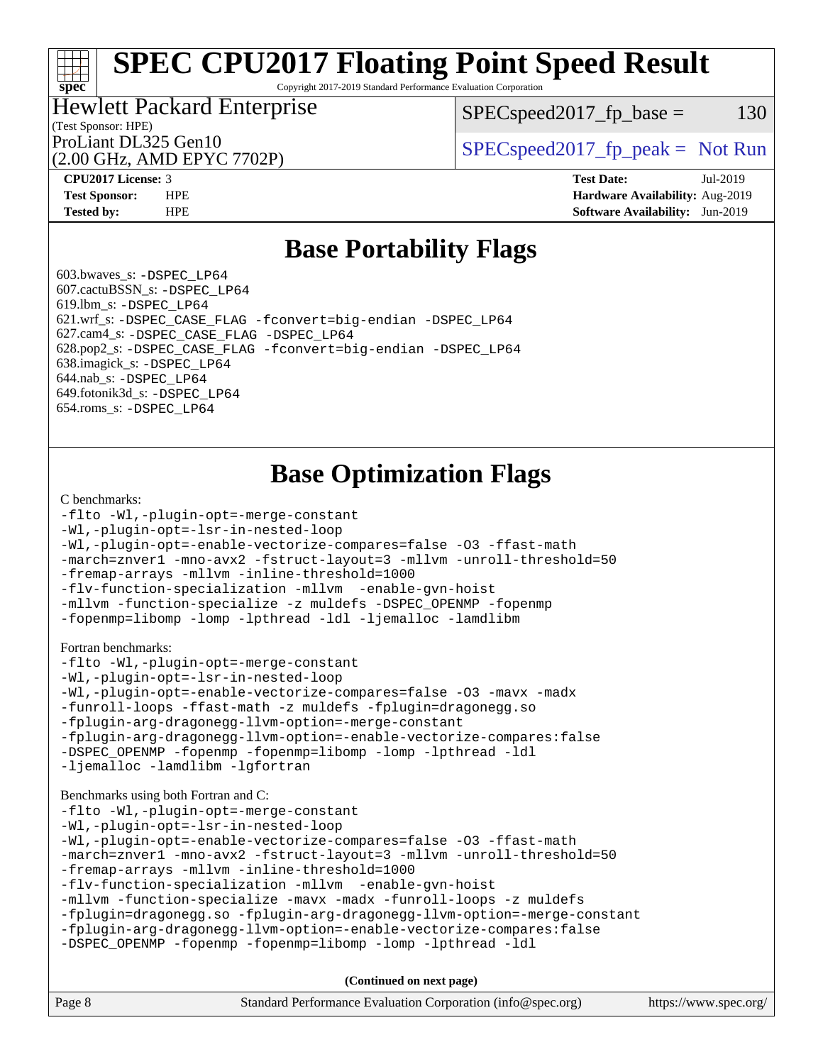Copyright 2017-2019 Standard Performance Evaluation Corporation

## Hewlett Packard Enterprise

 $SPEC speed2017_fp\_base = 130$ 

# (Test Sponsor: HPE)

(2.00 GHz, AMD EPYC 7702P)

ProLiant DL325 Gen10  $SPEC speed2017_fp\_peak = Not Run$ 

**[spec](http://www.spec.org/)**

**[CPU2017 License:](http://www.spec.org/auto/cpu2017/Docs/result-fields.html#CPU2017License)** 3 **[Test Date:](http://www.spec.org/auto/cpu2017/Docs/result-fields.html#TestDate)** Jul-2019 **[Test Sponsor:](http://www.spec.org/auto/cpu2017/Docs/result-fields.html#TestSponsor)** HPE **[Hardware Availability:](http://www.spec.org/auto/cpu2017/Docs/result-fields.html#HardwareAvailability)** Aug-2019 **[Tested by:](http://www.spec.org/auto/cpu2017/Docs/result-fields.html#Testedby)** HPE **[Software Availability:](http://www.spec.org/auto/cpu2017/Docs/result-fields.html#SoftwareAvailability)** Jun-2019

## **[Base Portability Flags](http://www.spec.org/auto/cpu2017/Docs/result-fields.html#BasePortabilityFlags)**

 603.bwaves\_s: [-DSPEC\\_LP64](http://www.spec.org/cpu2017/results/res2019q3/cpu2017-20190723-16410.flags.html#suite_baseEXTRA_PORTABILITY603_bwaves_s_DSPEC_LP64) 607.cactuBSSN\_s: [-DSPEC\\_LP64](http://www.spec.org/cpu2017/results/res2019q3/cpu2017-20190723-16410.flags.html#suite_baseEXTRA_PORTABILITY607_cactuBSSN_s_DSPEC_LP64) 619.lbm\_s: [-DSPEC\\_LP64](http://www.spec.org/cpu2017/results/res2019q3/cpu2017-20190723-16410.flags.html#suite_baseEXTRA_PORTABILITY619_lbm_s_DSPEC_LP64) 621.wrf\_s: [-DSPEC\\_CASE\\_FLAG](http://www.spec.org/cpu2017/results/res2019q3/cpu2017-20190723-16410.flags.html#b621.wrf_s_baseCPORTABILITY_DSPEC_CASE_FLAG) [-fconvert=big-endian](http://www.spec.org/cpu2017/results/res2019q3/cpu2017-20190723-16410.flags.html#user_baseFPORTABILITY621_wrf_s_F-fconvert) [-DSPEC\\_LP64](http://www.spec.org/cpu2017/results/res2019q3/cpu2017-20190723-16410.flags.html#suite_baseEXTRA_PORTABILITY621_wrf_s_DSPEC_LP64) 627.cam4\_s: [-DSPEC\\_CASE\\_FLAG](http://www.spec.org/cpu2017/results/res2019q3/cpu2017-20190723-16410.flags.html#b627.cam4_s_basePORTABILITY_DSPEC_CASE_FLAG) [-DSPEC\\_LP64](http://www.spec.org/cpu2017/results/res2019q3/cpu2017-20190723-16410.flags.html#suite_baseEXTRA_PORTABILITY627_cam4_s_DSPEC_LP64) 628.pop2\_s: [-DSPEC\\_CASE\\_FLAG](http://www.spec.org/cpu2017/results/res2019q3/cpu2017-20190723-16410.flags.html#b628.pop2_s_baseCPORTABILITY_DSPEC_CASE_FLAG) [-fconvert=big-endian](http://www.spec.org/cpu2017/results/res2019q3/cpu2017-20190723-16410.flags.html#user_baseFPORTABILITY628_pop2_s_F-fconvert) [-DSPEC\\_LP64](http://www.spec.org/cpu2017/results/res2019q3/cpu2017-20190723-16410.flags.html#suite_baseEXTRA_PORTABILITY628_pop2_s_DSPEC_LP64) 638.imagick\_s: [-DSPEC\\_LP64](http://www.spec.org/cpu2017/results/res2019q3/cpu2017-20190723-16410.flags.html#suite_baseEXTRA_PORTABILITY638_imagick_s_DSPEC_LP64) 644.nab\_s: [-DSPEC\\_LP64](http://www.spec.org/cpu2017/results/res2019q3/cpu2017-20190723-16410.flags.html#suite_baseEXTRA_PORTABILITY644_nab_s_DSPEC_LP64) 649.fotonik3d\_s: [-DSPEC\\_LP64](http://www.spec.org/cpu2017/results/res2019q3/cpu2017-20190723-16410.flags.html#suite_baseEXTRA_PORTABILITY649_fotonik3d_s_DSPEC_LP64) 654.roms\_s: [-DSPEC\\_LP64](http://www.spec.org/cpu2017/results/res2019q3/cpu2017-20190723-16410.flags.html#suite_baseEXTRA_PORTABILITY654_roms_s_DSPEC_LP64)

## **[Base Optimization Flags](http://www.spec.org/auto/cpu2017/Docs/result-fields.html#BaseOptimizationFlags)**

#### [C benchmarks](http://www.spec.org/auto/cpu2017/Docs/result-fields.html#Cbenchmarks):

```
-flto -Wl,-plugin-opt=-merge-constant
-Wl,-plugin-opt=-lsr-in-nested-loop
-Wl,-plugin-opt=-enable-vectorize-compares=false -O3 -ffast-math
-march=znver1 -mno-avx2 -fstruct-layout=3 -mllvm -unroll-threshold=50
-fremap-arrays -mllvm -inline-threshold=1000
-flv-function-specialization -mllvm -enable-gvn-hoist
-mllvm -function-specialize -z muldefs -DSPEC_OPENMP -fopenmp
-fopenmp=libomp -lomp -lpthread -ldl -ljemalloc -lamdlibm
Fortran benchmarks: 
-flto -Wl,-plugin-opt=-merge-constant
-Wl,-plugin-opt=-lsr-in-nested-loop
-Wl,-plugin-opt=-enable-vectorize-compares=false -O3 -mavx -madx
-funroll-loops -ffast-math -z muldefs -fplugin=dragonegg.so
-fplugin-arg-dragonegg-llvm-option=-merge-constant
-fplugin-arg-dragonegg-llvm-option=-enable-vectorize-compares:false
-DSPEC_OPENMP -fopenmp -fopenmp=libomp -lomp -lpthread -ldl
-ljemalloc -lamdlibm -lgfortran
Benchmarks using both Fortran and C: 
-flto -Wl,-plugin-opt=-merge-constant
-Wl,-plugin-opt=-lsr-in-nested-loop
-Wl,-plugin-opt=-enable-vectorize-compares=false -O3 -ffast-math
-march=znver1 -mno-avx2 -fstruct-layout=3 -mllvm -unroll-threshold=50
-fremap-arrays -mllvm -inline-threshold=1000
-flv-function-specialization -mllvm -enable-gvn-hoist
-mllvm -function-specialize -mavx -madx -funroll-loops -z muldefs
-fplugin=dragonegg.so -fplugin-arg-dragonegg-llvm-option=-merge-constant
-fplugin-arg-dragonegg-llvm-option=-enable-vectorize-compares:false
-DSPEC_OPENMP -fopenmp -fopenmp=libomp -lomp -lpthread -ldl
```
**(Continued on next page)**

| Page 8 | Standard Performance Evaluation Corporation (info@spec.org) | https://www.spec.org/ |
|--------|-------------------------------------------------------------|-----------------------|
|--------|-------------------------------------------------------------|-----------------------|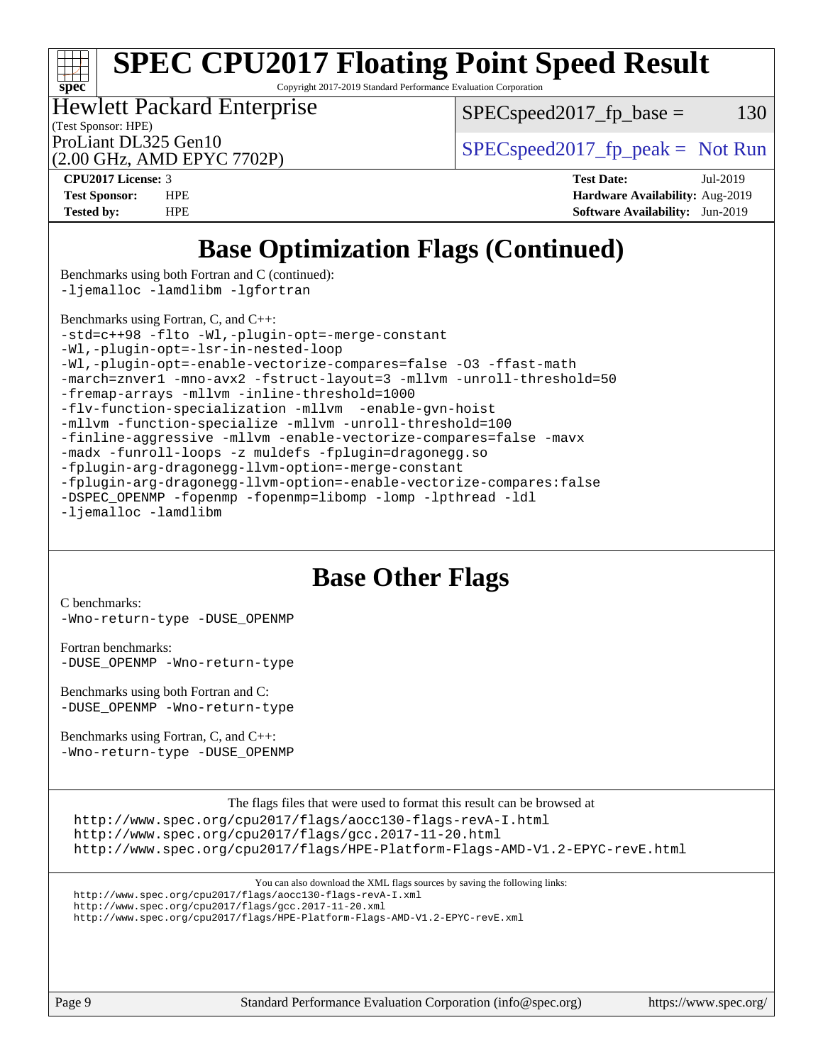# **[spec](http://www.spec.org/)**

# **[SPEC CPU2017 Floating Point Speed Result](http://www.spec.org/auto/cpu2017/Docs/result-fields.html#SPECCPU2017FloatingPointSpeedResult)**

Copyright 2017-2019 Standard Performance Evaluation Corporation

(Test Sponsor: HPE) Hewlett Packard Enterprise

 $SPEC speed2017_fp\_base = 130$ 

(2.00 GHz, AMD EPYC 7702P)

ProLiant DL325 Gen10  $SPEC speed2017_fp\_peak = Not Run$ 

**[CPU2017 License:](http://www.spec.org/auto/cpu2017/Docs/result-fields.html#CPU2017License)** 3 **[Test Date:](http://www.spec.org/auto/cpu2017/Docs/result-fields.html#TestDate)** Jul-2019 **[Test Sponsor:](http://www.spec.org/auto/cpu2017/Docs/result-fields.html#TestSponsor)** HPE **[Hardware Availability:](http://www.spec.org/auto/cpu2017/Docs/result-fields.html#HardwareAvailability)** Aug-2019 **[Tested by:](http://www.spec.org/auto/cpu2017/Docs/result-fields.html#Testedby)** HPE **[Software Availability:](http://www.spec.org/auto/cpu2017/Docs/result-fields.html#SoftwareAvailability)** Jun-2019

## **[Base Optimization Flags \(Continued\)](http://www.spec.org/auto/cpu2017/Docs/result-fields.html#BaseOptimizationFlags)**

[Benchmarks using both Fortran and C](http://www.spec.org/auto/cpu2017/Docs/result-fields.html#BenchmarksusingbothFortranandC) (continued): [-ljemalloc](http://www.spec.org/cpu2017/results/res2019q3/cpu2017-20190723-16410.flags.html#user_CC_FCbase_jemalloc-lib) [-lamdlibm](http://www.spec.org/cpu2017/results/res2019q3/cpu2017-20190723-16410.flags.html#user_CC_FCbase_F-lamdlibm) [-lgfortran](http://www.spec.org/cpu2017/results/res2019q3/cpu2017-20190723-16410.flags.html#user_CC_FCbase_F-lgfortran)

[Benchmarks using Fortran, C, and C++:](http://www.spec.org/auto/cpu2017/Docs/result-fields.html#BenchmarksusingFortranCandCXX) [-std=c++98](http://www.spec.org/cpu2017/results/res2019q3/cpu2017-20190723-16410.flags.html#user_CC_CXX_FCbase_std-cpp) [-flto](http://www.spec.org/cpu2017/results/res2019q3/cpu2017-20190723-16410.flags.html#user_CC_CXX_FCbase_aocc-flto) [-Wl,-plugin-opt=-merge-constant](http://www.spec.org/cpu2017/results/res2019q3/cpu2017-20190723-16410.flags.html#user_CC_CXX_FCbase_F-merge-constant_1d79771b5442061d9c8e05556c6b0c655e6c9e66f8c6936b0129d434b6acd2b1cf1b7cd2540d1570ff636111b08a6bc36e2e61fc34531f8ef7c1a34c57be1dbb) [-Wl,-plugin-opt=-lsr-in-nested-loop](http://www.spec.org/cpu2017/results/res2019q3/cpu2017-20190723-16410.flags.html#user_CC_CXX_FCbase_lsr-in-nested-loop_1cff93fd95162f5e77640b5271e8bed680fb62b4a8d96fb8ab217ff3244646f1fbb342e31af83c263403bbf5249c7dc7732d5c86c3eab4cc8d32dcb7a6f33ca0) [-Wl,-plugin-opt=-enable-vectorize-compares=false](http://www.spec.org/cpu2017/results/res2019q3/cpu2017-20190723-16410.flags.html#user_CC_CXX_FCbase_disable-vectorize-compares_b853f8418a42cc06a425f4a16db6b380d14e00519cd0324381fbe3b5fed198752fe9eb4cd4ff428f878821db69d9c031475f4f5f073a0fc0b0734450034716e8) [-O3](http://www.spec.org/cpu2017/results/res2019q3/cpu2017-20190723-16410.flags.html#user_CC_CXX_FCbase_F-O3) [-ffast-math](http://www.spec.org/cpu2017/results/res2019q3/cpu2017-20190723-16410.flags.html#user_CC_CXX_FCbase_aocc-ffast-math) [-march=znver1](http://www.spec.org/cpu2017/results/res2019q3/cpu2017-20190723-16410.flags.html#user_CC_CXX_FCbase_aocc-march) [-mno-avx2](http://www.spec.org/cpu2017/results/res2019q3/cpu2017-20190723-16410.flags.html#user_CC_CXX_FCbase_F-mno-avx2) [-fstruct-layout=3](http://www.spec.org/cpu2017/results/res2019q3/cpu2017-20190723-16410.flags.html#user_CC_CXX_FCbase_struct-layout) [-mllvm -unroll-threshold=50](http://www.spec.org/cpu2017/results/res2019q3/cpu2017-20190723-16410.flags.html#user_CC_CXX_FCbase_unroll-threshold_458874500b2c105d6d5cb4d7a611c40e2b16e9e3d26b355fea72d644c3673b4de4b3932662f0ed3dbec75c491a13da2d2ca81180bd779dc531083ef1e1e549dc) [-fremap-arrays](http://www.spec.org/cpu2017/results/res2019q3/cpu2017-20190723-16410.flags.html#user_CC_CXX_FCbase_F-fremap-arrays) [-mllvm -inline-threshold=1000](http://www.spec.org/cpu2017/results/res2019q3/cpu2017-20190723-16410.flags.html#user_CC_CXX_FCbase_dragonegg-llvm-inline-threshold_b7832241b0a6397e4ecdbaf0eb7defdc10f885c2a282fa3240fdc99844d543fda39cf8a4a9dccf68cf19b5438ac3b455264f478df15da0f4988afa40d8243bab) [-flv-function-specialization](http://www.spec.org/cpu2017/results/res2019q3/cpu2017-20190723-16410.flags.html#user_CC_CXX_FCbase_F-flv-function-specialization) [-mllvm -enable-gvn-hoist](http://www.spec.org/cpu2017/results/res2019q3/cpu2017-20190723-16410.flags.html#user_CC_CXX_FCbase_F-enable-gvn-hoist_98f0171d4f818d7f97896885cc39145d9c6ec6ecaa45bb289c3a12839072136e4af160d9bd95e903e60fee72c4a35db75799b8a57e2b8d1ccd3b6c61417e660c) [-mllvm -function-specialize](http://www.spec.org/cpu2017/results/res2019q3/cpu2017-20190723-16410.flags.html#user_CC_CXX_FCbase_function-specialize_233b3bdba86027f1b094368157e481c5bc59f40286dc25bfadc1858dcd5745c24fd30d5f188710db7fea399bcc9f44a80b3ce3aacc70a8870250c3ae5e1f35b8) [-mllvm -unroll-threshold=100](http://www.spec.org/cpu2017/results/res2019q3/cpu2017-20190723-16410.flags.html#user_CC_CXX_FCbase_unroll-threshold_2755d0c78138845d361fa1543e3a063fffa198df9b3edf0cfb856bbc88a81e1769b12ac7a550c5d35197be55360db1a3f95a8d1304df999456cabf5120c45168) [-finline-aggressive](http://www.spec.org/cpu2017/results/res2019q3/cpu2017-20190723-16410.flags.html#user_CC_CXX_FCbase_F-finline-aggressive) [-mllvm -enable-vectorize-compares=false](http://www.spec.org/cpu2017/results/res2019q3/cpu2017-20190723-16410.flags.html#user_CC_CXX_FCbase_disable-vectorize-compares_744e96dfaf0e6a0a8f558ad1f5117f7c029494e749ba2ce0369b998eced2f14f36c9acf9c44ff6efbd2349df21357d03f05694bcf5c1bda7e49ae93e191b7f84) [-mavx](http://www.spec.org/cpu2017/results/res2019q3/cpu2017-20190723-16410.flags.html#user_CC_CXX_FCbase_F-mavx) [-madx](http://www.spec.org/cpu2017/results/res2019q3/cpu2017-20190723-16410.flags.html#user_CC_CXX_FCbase_F-madx) [-funroll-loops](http://www.spec.org/cpu2017/results/res2019q3/cpu2017-20190723-16410.flags.html#user_CC_CXX_FCbase_aocc-unroll-loops) [-z muldefs](http://www.spec.org/cpu2017/results/res2019q3/cpu2017-20190723-16410.flags.html#user_CC_CXX_FCbase_aocc-muldefs) [-fplugin=dragonegg.so](http://www.spec.org/cpu2017/results/res2019q3/cpu2017-20190723-16410.flags.html#user_CC_CXX_FCbase_plugin-DragonEgg) [-fplugin-arg-dragonegg-llvm-option=-merge-constant](http://www.spec.org/cpu2017/results/res2019q3/cpu2017-20190723-16410.flags.html#user_CC_CXX_FCbase_F-merge-constant_37fd66d07a4fbae8f1b816e843c3ed1ebaa48f794b65ea8be746a1880566a3d23eba4a3c37b5c024650311adcf9247c62af28144803b3729b14be14423fa5142) [-fplugin-arg-dragonegg-llvm-option=-enable-vectorize-compares:false](http://www.spec.org/cpu2017/results/res2019q3/cpu2017-20190723-16410.flags.html#user_CC_CXX_FCbase_disable-vectorize-compares_d4094b735d9772f5001bab891b2a0f9b1e0f937da6fdfe4e9819ace3776bcc13a4b4fcd9a28f53dc5d73dd9ab9700532467376ddc09187e57c9ec8837a5c2d32) [-DSPEC\\_OPENMP](http://www.spec.org/cpu2017/results/res2019q3/cpu2017-20190723-16410.flags.html#suite_CC_CXX_FCbase_DSPEC_OPENMP) [-fopenmp](http://www.spec.org/cpu2017/results/res2019q3/cpu2017-20190723-16410.flags.html#user_CC_CXX_FCbase_F-fopenmp) [-fopenmp=libomp](http://www.spec.org/cpu2017/results/res2019q3/cpu2017-20190723-16410.flags.html#user_CC_CXX_FCbase_F-fopenmp_3eb6ab80166bcc84161ff8c20c8d5bc344f88119f45620444596454f7d72e99b7a0ceefc2d1b4d190bd07306bbfdfc20f11f5a2dc69c9b03c72239f8406741c3) [-lomp](http://www.spec.org/cpu2017/results/res2019q3/cpu2017-20190723-16410.flags.html#user_CC_CXX_FCbase_F-lomp) [-lpthread](http://www.spec.org/cpu2017/results/res2019q3/cpu2017-20190723-16410.flags.html#user_CC_CXX_FCbase_F-lpthread) [-ldl](http://www.spec.org/cpu2017/results/res2019q3/cpu2017-20190723-16410.flags.html#user_CC_CXX_FCbase_F-ldl) [-ljemalloc](http://www.spec.org/cpu2017/results/res2019q3/cpu2017-20190723-16410.flags.html#user_CC_CXX_FCbase_jemalloc-lib) [-lamdlibm](http://www.spec.org/cpu2017/results/res2019q3/cpu2017-20190723-16410.flags.html#user_CC_CXX_FCbase_F-lamdlibm)

## **[Base Other Flags](http://www.spec.org/auto/cpu2017/Docs/result-fields.html#BaseOtherFlags)**

[C benchmarks](http://www.spec.org/auto/cpu2017/Docs/result-fields.html#Cbenchmarks): [-Wno-return-type](http://www.spec.org/cpu2017/results/res2019q3/cpu2017-20190723-16410.flags.html#user_CCbase_F-Wno-return-type) [-DUSE\\_OPENMP](http://www.spec.org/cpu2017/results/res2019q3/cpu2017-20190723-16410.flags.html#user_CCbase_F-DUSE_OPENMP)

[Fortran benchmarks](http://www.spec.org/auto/cpu2017/Docs/result-fields.html#Fortranbenchmarks): [-DUSE\\_OPENMP](http://www.spec.org/cpu2017/results/res2019q3/cpu2017-20190723-16410.flags.html#user_FCbase_F-DUSE_OPENMP) [-Wno-return-type](http://www.spec.org/cpu2017/results/res2019q3/cpu2017-20190723-16410.flags.html#user_FCbase_F-Wno-return-type)

[Benchmarks using both Fortran and C](http://www.spec.org/auto/cpu2017/Docs/result-fields.html#BenchmarksusingbothFortranandC): [-DUSE\\_OPENMP](http://www.spec.org/cpu2017/results/res2019q3/cpu2017-20190723-16410.flags.html#user_CC_FCbase_F-DUSE_OPENMP) [-Wno-return-type](http://www.spec.org/cpu2017/results/res2019q3/cpu2017-20190723-16410.flags.html#user_CC_FCbase_F-Wno-return-type)

[Benchmarks using Fortran, C, and C++:](http://www.spec.org/auto/cpu2017/Docs/result-fields.html#BenchmarksusingFortranCandCXX) [-Wno-return-type](http://www.spec.org/cpu2017/results/res2019q3/cpu2017-20190723-16410.flags.html#user_CC_CXX_FCbase_F-Wno-return-type) [-DUSE\\_OPENMP](http://www.spec.org/cpu2017/results/res2019q3/cpu2017-20190723-16410.flags.html#user_CC_CXX_FCbase_F-DUSE_OPENMP)

The flags files that were used to format this result can be browsed at

<http://www.spec.org/cpu2017/flags/aocc130-flags-revA-I.html>

<http://www.spec.org/cpu2017/flags/gcc.2017-11-20.html> <http://www.spec.org/cpu2017/flags/HPE-Platform-Flags-AMD-V1.2-EPYC-revE.html>

```
You can also download the XML flags sources by saving the following links:
http://www.spec.org/cpu2017/flags/aocc130-flags-revA-I.xml
http://www.spec.org/cpu2017/flags/gcc.2017-11-20.xml
http://www.spec.org/cpu2017/flags/HPE-Platform-Flags-AMD-V1.2-EPYC-revE.xml
```